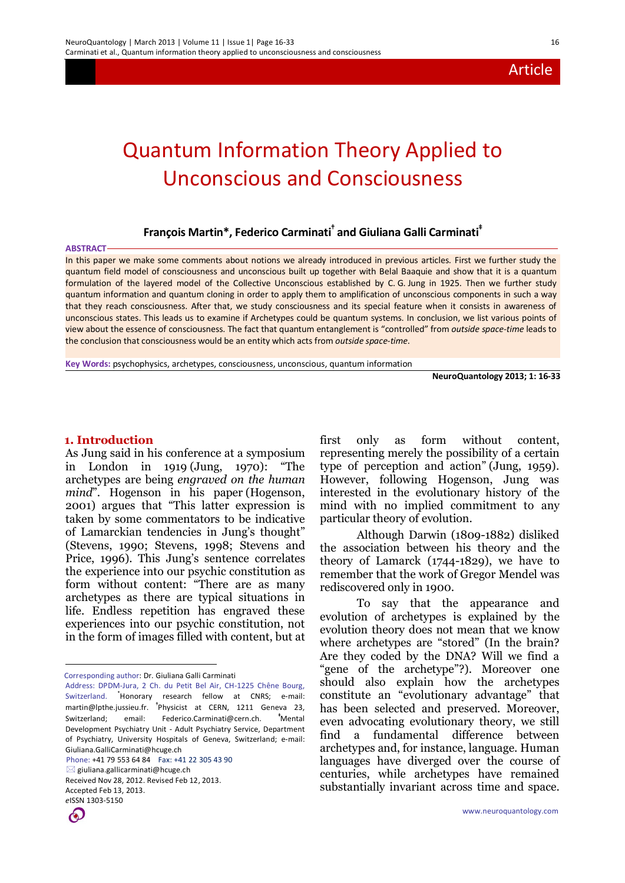Articlex

# Quantum Information Theory Applied to Unconscious and Consciousness

# **François Martin\*, Federico Carminati**† **and Giuliana Galli Carminati**‡

#### **ABSTRACT**

In this paper we make some comments about notions we already introduced in previous articles. First we further study the quantum field model of consciousness and unconscious built up together with Belal Baaquie and show that it is a quantum formulation of the layered model of the Collective Unconscious established by C. G. Jung in 1925. Then we further study quantum information and quantum cloning in order to apply them to amplification of unconscious components in such a way that they reach consciousness. After that, we study consciousness and its special feature when it consists in awareness of unconscious states. This leads us to examine if Archetypes could be quantum systems. In conclusion, we list various points of view about the essence of consciousness. The fact that quantum entanglement is "controlled" from *outside space-time* leads to the conclusion that consciousness would be an entity which acts from *outside space-time*.

**Key Words:** psychophysics, archetypes, consciousness, unconscious, quantum information

**NeuroQuantology 2013; 1: 16-33**

#### 1. Introduction

As Jung said in his conference at a symposium in London in 1919 (Jung, 1970): "The archetypes are being engraved on the human mind". Hogenson in his paper (Hogenson, 2001) argues that "This latter expression is taken by some commentators to be indicative of Lamarckian tendencies in Jung's thought" (Stevens, 1990; Stevens, 1998; Stevens and Price, 1996). This Jung's sentence correlates the experience into our psychic constitution as form without content: "There are as many archetypes as there are typical situations in life. Endless repetition has engraved these experiences into our psychic constitution, not in the form of images filled with content, but at

Phone: +41 79 553 64 84 Fax: +41 22 305 43 90

 $\boxtimes$  giuliana.gallicarminati@hcuge.ch Received Nov 28, 2012. Revised Feb 12, 2013.

*e*ISSN 1303-5150



 $\overline{a}$ 

first only as form without content, representing merely the possibility of a certain type of perception and action" (Jung, 1959). However, following Hogenson, Jung was interested in the evolutionary history of the mind with no implied commitment to any particular theory of evolution.

Although Darwin (1809-1882) disliked the association between his theory and the theory of Lamarck (1744-1829), we have to remember that the work of Gregor Mendel was rediscovered only in 1900.

To say that the appearance and evolution of archetypes is explained by the evolution theory does not mean that we know where archetypes are "stored" (In the brain? Are they coded by the DNA? Will we find a "gene of the archetype"?). Moreover one should also explain how the archetypes constitute an "evolutionary advantage" that has been selected and preserved. Moreover, even advocating evolutionary theory, we still find a fundamental difference between archetypes and, for instance, language. Human languages have diverged over the course of centuries, while archetypes have remained substantially invariant across time and space.

Corresponding author: Dr. Giuliana Galli Carminati

Address: DPDM-Jura, 2 Ch. du Petit Bel Air, CH-1225 Chêne Bourg, Switzerland. \* Honorary research fellow at CNRS; e-mail: martin@lpthe.jussieu.fr. † Physicist at CERN, 1211 Geneva 23, Switzerland: email: Federico.Carminati@cern.ch. Mental Development Psychiatry Unit - Adult Psychiatry Service, Department of Psychiatry, University Hospitals of Geneva, Switzerland; e-mail: Giuliana.GalliCarminati@hcuge.ch

Accepted Feb 13, 2013.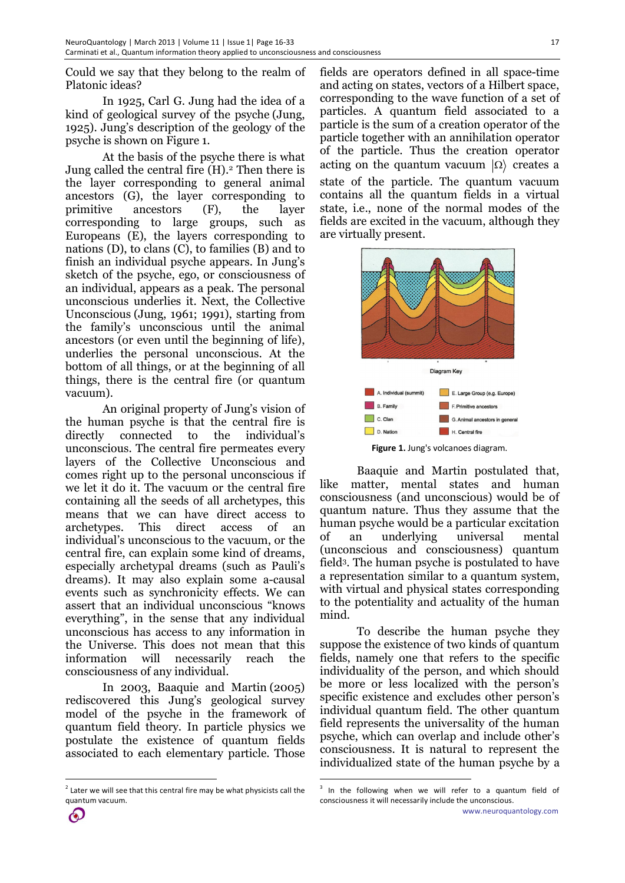Could we say that they belong to the realm of Platonic ideas?

In 1925, Carl G. Jung had the idea of a kind of geological survey of the psyche (Jung, 1925). Jung's description of the geology of the psyche is shown on Figure 1.

At the basis of the psyche there is what Jung called the central fire (H).2 Then there is the layer corresponding to general animal ancestors (G), the layer corresponding to primitive ancestors (F), the layer corresponding to large groups, such as Europeans (E), the layers corresponding to nations (D), to clans (C), to families (B) and to finish an individual psyche appears. In Jung's sketch of the psyche, ego, or consciousness of an individual, appears as a peak. The personal unconscious underlies it. Next, the Collective Unconscious (Jung, 1961; 1991), starting from the family's unconscious until the animal ancestors (or even until the beginning of life), underlies the personal unconscious. At the bottom of all things, or at the beginning of all things, there is the central fire (or quantum vacuum).

An original property of Jung's vision of the human psyche is that the central fire is directly connected to the individual's unconscious. The central fire permeates every layers of the Collective Unconscious and comes right up to the personal unconscious if we let it do it. The vacuum or the central fire containing all the seeds of all archetypes, this means that we can have direct access to archetypes. This direct access of an individual's unconscious to the vacuum, or the central fire, can explain some kind of dreams, especially archetypal dreams (such as Pauli's dreams). It may also explain some a-causal events such as synchronicity effects. We can assert that an individual unconscious "knows everything", in the sense that any individual unconscious has access to any information in the Universe. This does not mean that this information will necessarily reach the consciousness of any individual.

In 2003, Baaquie and Martin (2005) rediscovered this Jung's geological survey model of the psyche in the framework of quantum field theory. In particle physics we postulate the existence of quantum fields associated to each elementary particle. Those

fields are operators defined in all space-time and acting on states, vectors of a Hilbert space, corresponding to the wave function of a set of particles. A quantum field associated to a particle is the sum of a creation operator of the particle together with an annihilation operator of the particle. Thus the creation operator acting on the quantum vacuum  $|\Omega\rangle$  creates a state of the particle. The quantum vacuum contains all the quantum fields in a virtual state, i.e., none of the normal modes of the fields are excited in the vacuum, although they are virtually present.



Baaquie and Martin postulated that, like matter, mental states and human consciousness (and unconscious) would be of quantum nature. Thus they assume that the human psyche would be a particular excitation of an underlying universal mental (unconscious and consciousness) quantum field3. The human psyche is postulated to have a representation similar to a quantum system, with virtual and physical states corresponding to the potentiality and actuality of the human mind.

To describe the human psyche they suppose the existence of two kinds of quantum fields, namely one that refers to the specific individuality of the person, and which should be more or less localized with the person's specific existence and excludes other person's individual quantum field. The other quantum field represents the universality of the human psyche, which can overlap and include other's consciousness. It is natural to represent the individualized state of the human psyche by a

www.neuroquantology.com

 $2$  Later we will see that this central fire may be what physicists call the quantum vacuum.

<sup>&</sup>lt;sup>3</sup> In the following when we will refer to a quantum field of consciousness it will necessarily include the unconscious.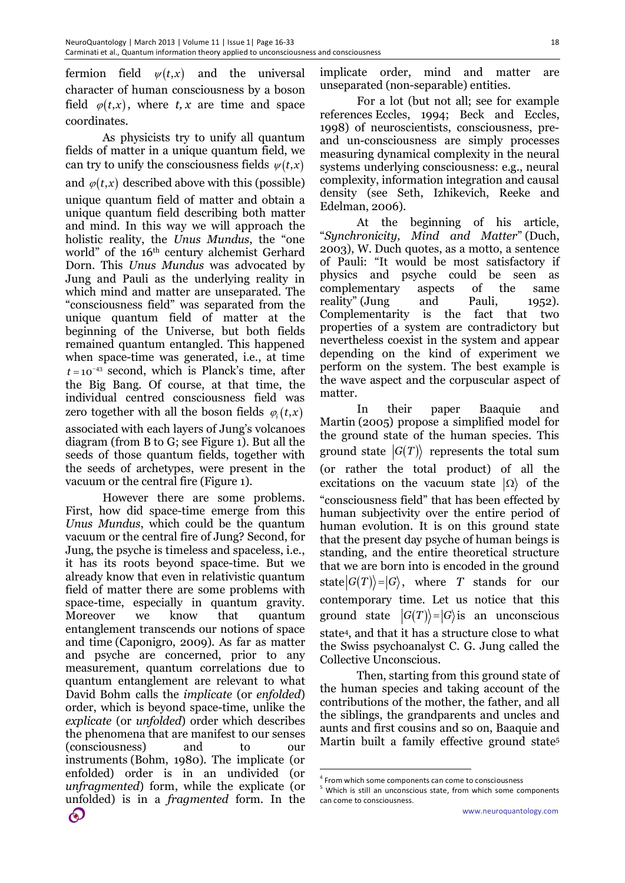fermion field  $\psi(t, x)$  and the universal character of human consciousness by a boson field  $\varphi(t, x)$ , where t, x are time and space coordinates.

As physicists try to unify all quantum fields of matter in a unique quantum field, we can try to unify the consciousness fields  $\psi(t, x)$ 

and  $\varphi(t, x)$  described above with this (possible) unique quantum field of matter and obtain a unique quantum field describing both matter and mind. In this way we will approach the holistic reality, the Unus Mundus, the "one world" of the 16<sup>th</sup> century alchemist Gerhard Dorn. This Unus Mundus was advocated by Jung and Pauli as the underlying reality in which mind and matter are unseparated. The "consciousness field" was separated from the unique quantum field of matter at the beginning of the Universe, but both fields remained quantum entangled. This happened when space-time was generated, i.e., at time  $t = 10^{-43}$  second, which is Planck's time, after the Big Bang. Of course, at that time, the individual centred consciousness field was zero together with all the boson fields  $\varphi_i(t, x)$ associated with each layers of Jung's volcanoes diagram (from B to G; see Figure 1). But all the seeds of those quantum fields, together with the seeds of archetypes, were present in the vacuum or the central fire (Figure 1).

However there are some problems. First, how did space-time emerge from this Unus Mundus, which could be the quantum vacuum or the central fire of Jung? Second, for Jung, the psyche is timeless and spaceless, i.e., it has its roots beyond space-time. But we already know that even in relativistic quantum field of matter there are some problems with space-time, especially in quantum gravity. Moreover we know that quantum entanglement transcends our notions of space and time (Caponigro, 2009). As far as matter and psyche are concerned, prior to any measurement, quantum correlations due to quantum entanglement are relevant to what David Bohm calls the implicate (or enfolded) order, which is beyond space-time, unlike the explicate (or unfolded) order which describes the phenomena that are manifest to our senses (consciousness) and to our instruments (Bohm, 1980). The implicate (or enfolded) order is in an undivided (or unfragmented) form, while the explicate (or unfolded) is in a fragmented form. In the  $\odot$ 

implicate order, mind and matter are unseparated (non-separable) entities.

For a lot (but not all; see for example references Eccles, 1994; Beck and Eccles, 1998) of neuroscientists, consciousness, preand un-consciousness are simply processes measuring dynamical complexity in the neural systems underlying consciousness: e.g., neural complexity, information integration and causal density (see Seth, Izhikevich, Reeke and Edelman, 2006).

At the beginning of his article, "Synchronicity, Mind and Matter" (Duch, 2003), W. Duch quotes, as a motto, a sentence of Pauli: "It would be most satisfactory if physics and psyche could be seen as complementary aspects of the same reality" (Jung and Pauli, 1952). Complementarity is the fact that two properties of a system are contradictory but nevertheless coexist in the system and appear depending on the kind of experiment we perform on the system. The best example is the wave aspect and the corpuscular aspect of matter.

In their paper Baaquie and Martin (2005) propose a simplified model for the ground state of the human species. This ground state  $|G(T)\rangle$  represents the total sum (or rather the total product) of all the excitations on the vacuum state  $|\Omega\rangle$  of the "consciousness field" that has been effected by human subjectivity over the entire period of human evolution. It is on this ground state that the present day psyche of human beings is standing, and the entire theoretical structure that we are born into is encoded in the ground state  $|G(T)\rangle = |G\rangle$ , where T stands for our contemporary time. Let us notice that this ground state  $|G(T)\rangle = |G\rangle$  is an unconscious state4, and that it has a structure close to what the Swiss psychoanalyst C. G. Jung called the Collective Unconscious.

Then, starting from this ground state of the human species and taking account of the contributions of the mother, the father, and all the siblings, the grandparents and uncles and aunts and first cousins and so on, Baaquie and Martin built a family effective ground state5

 $4$  From which some components can come to consciousness

<sup>5</sup> Which is still an unconscious state, from which some components can come to consciousness.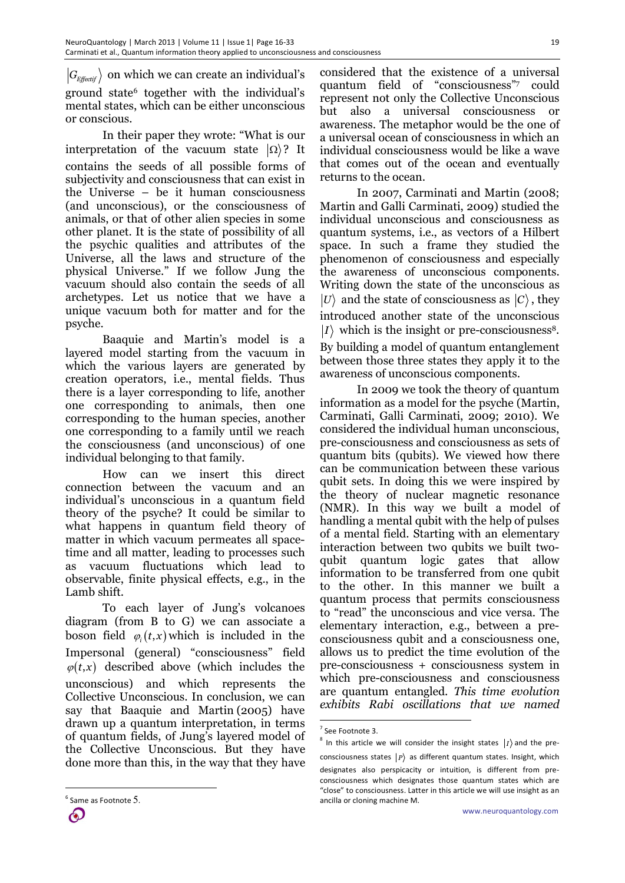$|G_{\text{Effect}}\rangle$  on which we can create an individual's ground state6 together with the individual's mental states, which can be either unconscious or conscious.

In their paper they wrote: "What is our interpretation of the vacuum state  $|\Omega\rangle$ ? It contains the seeds of all possible forms of subjectivity and consciousness that can exist in the Universe – be it human consciousness (and unconscious), or the consciousness of animals, or that of other alien species in some other planet. It is the state of possibility of all the psychic qualities and attributes of the Universe, all the laws and structure of the physical Universe." If we follow Jung the vacuum should also contain the seeds of all archetypes. Let us notice that we have a unique vacuum both for matter and for the psyche.

Baaquie and Martin's model is a layered model starting from the vacuum in which the various layers are generated by creation operators, i.e., mental fields. Thus there is a layer corresponding to life, another one corresponding to animals, then one corresponding to the human species, another one corresponding to a family until we reach the consciousness (and unconscious) of one individual belonging to that family.

How can we insert this direct connection between the vacuum and an individual's unconscious in a quantum field theory of the psyche? It could be similar to what happens in quantum field theory of matter in which vacuum permeates all spacetime and all matter, leading to processes such as vacuum fluctuations which lead to observable, finite physical effects, e.g., in the Lamb shift.

To each layer of Jung's volcanoes diagram (from B to G) we can associate a boson field  $\varphi_i(t, x)$  which is included in the Impersonal (general) "consciousness" field  $\varphi(t, x)$  described above (which includes the unconscious) and which represents the Collective Unconscious. In conclusion, we can say that Baaquie and Martin (2005) have drawn up a quantum interpretation, in terms of quantum fields, of Jung's layered model of the Collective Unconscious. But they have done more than this, in the way that they have

 $\overline{a}$ 

considered that the existence of a universal quantum field of "consciousness"7 could represent not only the Collective Unconscious but also a universal consciousness or awareness. The metaphor would be the one of a universal ocean of consciousness in which an individual consciousness would be like a wave that comes out of the ocean and eventually returns to the ocean.

In 2007, Carminati and Martin (2008; Martin and Galli Carminati, 2009) studied the individual unconscious and consciousness as quantum systems, i.e., as vectors of a Hilbert space. In such a frame they studied the phenomenon of consciousness and especially the awareness of unconscious components. Writing down the state of the unconscious as  $|U\rangle$  and the state of consciousness as  $|C\rangle$ , they introduced another state of the unconscious  $|I\rangle$  which is the insight or pre-consciousness<sup>8</sup>. By building a model of quantum entanglement between those three states they apply it to the awareness of unconscious components.

In 2009 we took the theory of quantum information as a model for the psyche (Martin, Carminati, Galli Carminati, 2009; 2010). We considered the individual human unconscious, pre-consciousness and consciousness as sets of quantum bits (qubits). We viewed how there can be communication between these various qubit sets. In doing this we were inspired by the theory of nuclear magnetic resonance (NMR). In this way we built a model of handling a mental qubit with the help of pulses of a mental field. Starting with an elementary interaction between two qubits we built twoqubit quantum logic gates that allow information to be transferred from one qubit to the other. In this manner we built a quantum process that permits consciousness to "read" the unconscious and vice versa. The elementary interaction, e.g., between a preconsciousness qubit and a consciousness one, allows us to predict the time evolution of the pre-consciousness + consciousness system in which pre-consciousness and consciousness are quantum entangled. This time evolution exhibits Rabi oscillations that we named

Same as Footnote  $5$ .

<sup>7</sup> See Footnote 3.

<sup>&</sup>lt;sup>8</sup> In this article we will consider the insight states  $|I\rangle$  and the preconsciousness states  $|p\rangle$  as different quantum states. Insight, which designates also perspicacity or intuition, is different from preconsciousness which designates those quantum states which are "close" to consciousness. Latter in this article we will use insight as an ancilla or cloning machine M.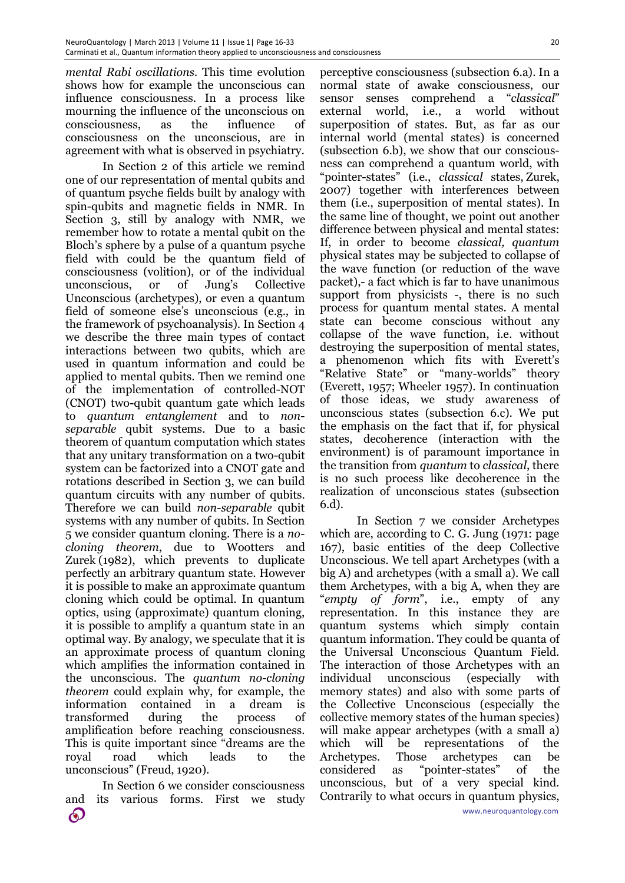mental Rabi oscillations. This time evolution shows how for example the unconscious can influence consciousness. In a process like mourning the influence of the unconscious on consciousness, as the influence of consciousness on the unconscious, are in agreement with what is observed in psychiatry.

In Section 2 of this article we remind one of our representation of mental qubits and of quantum psyche fields built by analogy with spin-qubits and magnetic fields in NMR. In Section 3, still by analogy with NMR, we remember how to rotate a mental qubit on the Bloch's sphere by a pulse of a quantum psyche field with could be the quantum field of consciousness (volition), or of the individual unconscious, or of Jung's Collective Unconscious (archetypes), or even a quantum field of someone else's unconscious (e.g., in the framework of psychoanalysis). In Section 4 we describe the three main types of contact interactions between two qubits, which are used in quantum information and could be applied to mental qubits. Then we remind one of the implementation of controlled-NOT (CNOT) two-qubit quantum gate which leads to quantum entanglement and to nonseparable qubit systems. Due to a basic theorem of quantum computation which states that any unitary transformation on a two-qubit system can be factorized into a CNOT gate and rotations described in Section 3, we can build quantum circuits with any number of qubits. Therefore we can build non-separable qubit systems with any number of qubits. In Section 5 we consider quantum cloning. There is a nocloning theorem, due to Wootters and Zurek (1982), which prevents to duplicate perfectly an arbitrary quantum state. However it is possible to make an approximate quantum cloning which could be optimal. In quantum optics, using (approximate) quantum cloning, it is possible to amplify a quantum state in an optimal way. By analogy, we speculate that it is an approximate process of quantum cloning which amplifies the information contained in the unconscious. The quantum no-cloning theorem could explain why, for example, the information contained in a dream is transformed during the process of amplification before reaching consciousness. This is quite important since "dreams are the royal road which leads to the unconscious" (Freud, 1920).

In Section 6 we consider consciousness and its various forms. First we study  $\odot$ 

perceptive consciousness (subsection 6.a). In a normal state of awake consciousness, our sensor senses comprehend a "classical" external world, i.e., a world without superposition of states. But, as far as our internal world (mental states) is concerned (subsection 6.b), we show that our consciousness can comprehend a quantum world, with "pointer-states" (i.e., classical states, Zurek, 2007) together with interferences between them (i.e., superposition of mental states). In the same line of thought, we point out another difference between physical and mental states: If, in order to become classical, quantum physical states may be subjected to collapse of the wave function (or reduction of the wave packet),- a fact which is far to have unanimous support from physicists -, there is no such process for quantum mental states. A mental state can become conscious without any collapse of the wave function, i.e. without destroying the superposition of mental states, a phenomenon which fits with Everett's "Relative State" or "many-worlds" theory (Everett, 1957; Wheeler 1957). In continuation of those ideas, we study awareness of unconscious states (subsection 6.c). We put the emphasis on the fact that if, for physical states, decoherence (interaction with the environment) is of paramount importance in the transition from quantum to classical, there is no such process like decoherence in the realization of unconscious states (subsection 6.d).

In Section 7 we consider Archetypes which are, according to C. G. Jung (1971: page 167), basic entities of the deep Collective Unconscious. We tell apart Archetypes (with a big A) and archetypes (with a small a). We call them Archetypes, with a big A, when they are "empty of form", i.e., empty of any representation. In this instance they are quantum systems which simply contain quantum information. They could be quanta of the Universal Unconscious Quantum Field. The interaction of those Archetypes with an individual unconscious (especially with memory states) and also with some parts of the Collective Unconscious (especially the collective memory states of the human species) will make appear archetypes (with a small a) which will be representations of the Archetypes. Those archetypes can be considered as "pointer-states" of the unconscious, but of a very special kind. Contrarily to what occurs in quantum physics,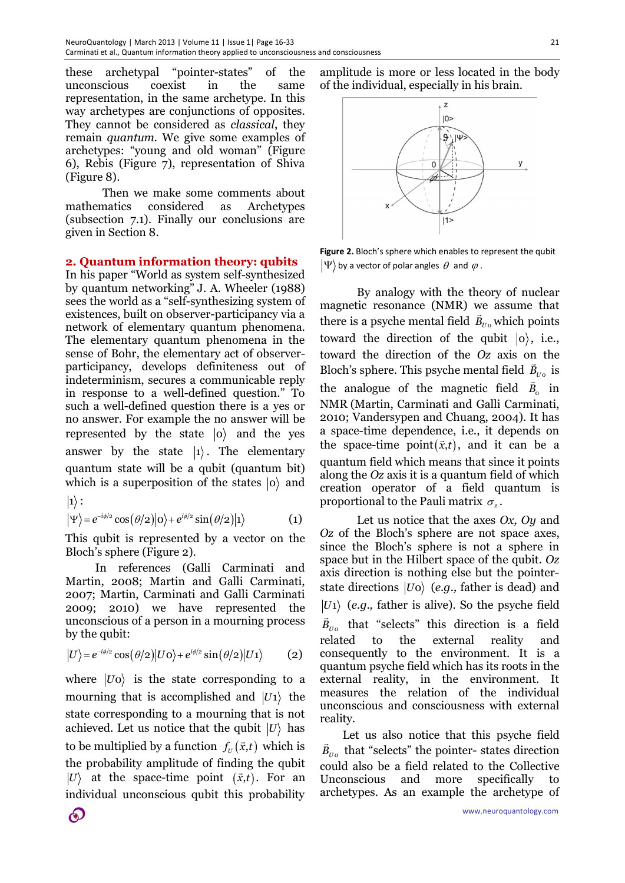these archetypal "pointer-states" of the unconscious coexist in the same representation, in the same archetype. In this way archetypes are conjunctions of opposites. They cannot be considered as classical, they remain quantum. We give some examples of archetypes: "young and old woman" (Figure 6), Rebis (Figure 7), representation of Shiva (Figure 8).

Then we make some comments about mathematics considered as Archetypes (subsection 7.1). Finally our conclusions are given in Section 8.

## 2. Quantum information theory: qubits

In his paper "World as system self-synthesized by quantum networking" J. A. Wheeler (1988) sees the world as a "self-synthesizing system of existences, built on observer-participancy via a network of elementary quantum phenomena. The elementary quantum phenomena in the sense of Bohr, the elementary act of observerparticipancy, develops definiteness out of indeterminism, secures a communicable reply in response to a well-defined question." To such a well-defined question there is a yes or no answer. For example the no answer will be represented by the state  $|0\rangle$  and the yes answer by the state  $|1\rangle$ . The elementary quantum state will be a qubit (quantum bit) which is a superposition of the states  $|0\rangle$  and  $\ket{1}$ :

$$
|\Psi\rangle = e^{-i\phi/2} \cos(\theta/2)|0\rangle + e^{i\phi/2} \sin(\theta/2)|1\rangle
$$
 (1)

This qubit is represented by a vector on the Bloch's sphere (Figure 2).

In references (Galli Carminati and Martin, 2008; Martin and Galli Carminati, 2007; Martin, Carminati and Galli Carminati 2009; 2010) we have represented the unconscious of a person in a mourning process by the qubit:

$$
|U\rangle = e^{-i\phi/2} \cos(\theta/2)|U\mathbf{o}\rangle + e^{i\phi/2} \sin(\theta/2)|U\mathbf{1}\rangle
$$
 (2)

where  $|U_0\rangle$  is the state corresponding to a mourning that is accomplished and  $|U_1\rangle$  the state corresponding to a mourning that is not achieved. Let us notice that the qubit  $|U\rangle$  has to be multiplied by a function  $f_{\mu}(\vec{x}, t)$  which is the probability amplitude of finding the qubit  $|U\rangle$  at the space-time point  $(\vec{x},t)$ . For an individual unconscious qubit this probability amplitude is more or less located in the body of the individual, especially in his brain.



**Figure 2.** Bloch's sphere which enables to represent the qubit  $|\Psi\rangle$  by a vector of polar angles  $\theta$  and  $\varphi$ .

By analogy with the theory of nuclear magnetic resonance (NMR) we assume that magnetic resonance (NMR) we assume that<br>there is a psyche mental field  $\vec{B}_{U_0}$  which points toward the direction of the qubit  $|0\rangle$ , i.e., toward the direction of the Oz axis on the Bloch's sphere. This psyche mental field  $\vec{B}_{U_0}$  is the analogue of the magnetic field  $\vec{B}_0$  in NMR (Martin, Carminati and Galli Carminati, 2010; Vandersypen and Chuang, 2004). It has a space-time dependence, i.e., it depends on the space-time point $(\vec{x}, t)$ , and it can be a quantum field which means that since it points along the Oz axis it is a quantum field of which creation operator of a field quantum is proportional to the Pauli matrix  $\sigma_z$ .

Let us notice that the axes  $Ox$ ,  $Oy$  and Oz of the Bloch's sphere are not space axes, since the Bloch's sphere is not a sphere in space but in the Hilbert space of the qubit. Oz axis direction is nothing else but the pointerstate directions  $|U_0\rangle$  (e.g., father is dead) and  $|U_1\rangle$  (e.g., father is alive). So the psyche field  $\vec{B}_{U}$  that "selects" this direction is a field related to the external reality and consequently to the environment. It is a quantum psyche field which has its roots in the external reality, in the environment. It measures the relation of the individual unconscious and consciousness with external reality.

Let us also notice that this psyche field  $\vec{B}_{U_0}$  that "selects" the pointer- states direction could also be a field related to the Collective Unconscious and more specifically to archetypes. As an example the archetype of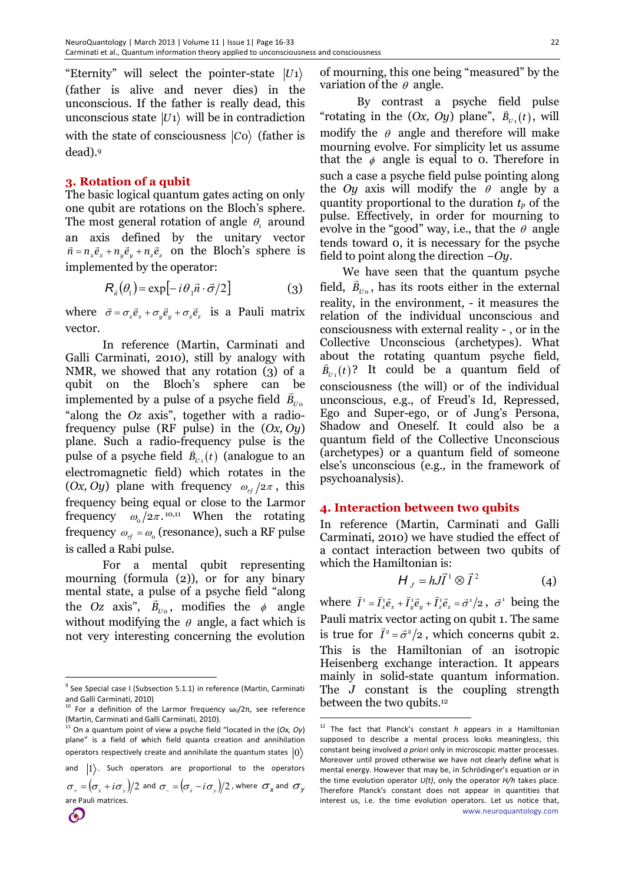"Eternity" will select the pointer-state  $|U_1\rangle$ (father is alive and never dies) in the unconscious. If the father is really dead, this unconscious state  $|U_1\rangle$  will be in contradiction with the state of consciousness  $|Co\rangle$  (father is dead).9

## 3. Rotation of a qubit

The basic logical quantum gates acting on only one qubit are rotations on the Bloch's sphere. The most general rotation of angle  $\theta_1$  around an axis defined by the unitary vector  $\vec{n} = n_x \vec{e}_x + n_y \vec{e}_y + n_z \vec{e}_z$  on the Bloch's sphere is implemented by the operator:

$$
\mathcal{R}_{\vec{n}}(\theta_1) = \exp[-i\theta_1 \vec{n} \cdot \vec{\sigma}/2]
$$
 (3)

where  $\vec{\sigma} = \sigma_x \vec{e}_x + \sigma_y \vec{e}_y + \sigma_z \vec{e}_z$  is a Pauli matrix vector.

In reference (Martin, Carminati and Galli Carminati, 2010), still by analogy with NMR, we showed that any rotation (3) of a qubit on the Bloch's sphere can be implemented by a pulse of a psyche field  $B_{U_0}$ "along the Oz axis", together with a radiofrequency pulse (RF pulse) in the  $(Ox, Oy)$ plane. Such a radio-frequency pulse is the pulse of a psyche field  $\vec{B}_{U_1}(t)$  (analogue to an electromagnetic field) which rotates in the  $(0x, 0y)$  plane with frequency  $\omega_{rf} / 2\pi$ , this frequency being equal or close to the Larmor frequency  $\omega_0/2\pi$ , <sup>10,11</sup> When the rotating frequency  $\omega_{rf} = \omega_0$  (resonance), such a RF pulse is called a Rabi pulse.

For a mental qubit representing mourning (formula (2)), or for any binary mental state, a pulse of a psyche field "along the Oz axis",  $\vec{B}_{U_0}$ , modifies the  $\phi$  angle without modifying the  $\theta$  angle, a fact which is not very interesting concerning the evolution

and  $|1\rangle$ . Such operators are proportional to the operators  $\sigma_+ = (\sigma_x + i \sigma_y)/2$  and  $\sigma_- = (\sigma_x - i \sigma_y)/2$ , where  $\sigma_x$  and  $\sigma_y$ are Pauli matrices.

of mourning, this one being "measured" by the variation of the  $\theta$  angle.

By contrast a psyche field pulse "rotating in the  $(Ox, Oy)$  plane",  $\vec{B}_{U_1}(t)$ , will modify the  $\theta$  angle and therefore will make mourning evolve. For simplicity let us assume that the  $\phi$  angle is equal to 0. Therefore in such a case a psyche field pulse pointing along the Oy axis will modify the  $\theta$  angle by a quantity proportional to the duration  $t_p$  of the pulse. Effectively, in order for mourning to evolve in the "good" way, i.e., that the  $\theta$  angle tends toward 0, it is necessary for the psyche field to point along the direction –*Oy*.

We have seen that the quantum psyche field,  $\vec{B}_{U_0}$ , has its roots either in the external reality, in the environment, - it measures the relation of the individual unconscious and consciousness with external reality - , or in the Collective Unconscious (archetypes). What about the rotating quantum psyche field,  $\vec{B}_{U_1}(t)$ ? It could be a quantum field of consciousness (the will) or of the individual unconscious, e.g., of Freud's Id, Repressed, Ego and Super-ego, or of Jung's Persona, Shadow and Oneself. It could also be a quantum field of the Collective Unconscious (archetypes) or a quantum field of someone else's unconscious (e.g., in the framework of psychoanalysis).

## 4. Interaction between two qubits

In reference (Martin, Carminati and Galli Carminati, 2010) we have studied the effect of a contact interaction between two qubits of which the Hamiltonian is:

which the Hamiltonian is.  
\n
$$
H_J = hJ\vec{I}^1 \otimes \vec{I}^2
$$
\n(4)

where  $\vec{I}^1 = \vec{I}^1_x \vec{e}_x + \vec{I}^1_y \vec{e}_y + \vec{I}^1_z \vec{e}_z = \vec{\sigma}^1/2$ ,  $\vec{\sigma}^1$  being the Pauli matrix vector acting on qubit 1. The same is true for  $\vec{I}^2 = \vec{\sigma}^2/2$ , which concerns qubit 2. This is the Hamiltonian of an isotropic Heisenberg exchange interaction. It appears mainly in solid-state quantum information. The *J* constant is the coupling strength between the two qubits.<sup>12</sup>

 $9$  See Special case I (Subsection 5.1.1) in reference (Martin, Carminati and Galli Carminati, 2010)<br><sup>10</sup> For a definition of the Larmor frequency ω<sub>0</sub>/2π, see reference

<sup>(</sup>Martin, Carminati and Galli Carminati, 2010).

<sup>11</sup> On a quantum point of view a psyche field "located in the (*Ox, Oy*) plane" is a field of which field quanta creation and annihilation operators respectively create and annihilate the quantum states  $|0\rangle$ 

www.neuroquantology.com <sup>12</sup> The fact that Planck's constant *<sup>h</sup>* appears in a Hamiltonian supposed to describe a mental process looks meaningless, this constant being involved *a priori* only in microscopic matter processes. Moreover until proved otherwise we have not clearly define what is mental energy. However that may be, in Schrödinger's equation or in the time evolution operator *U(t)*, only the operator *H/h* takes place. Therefore Planck's constant does not appear in quantities that interest us, i.e. the time evolution operators. Let us notice that,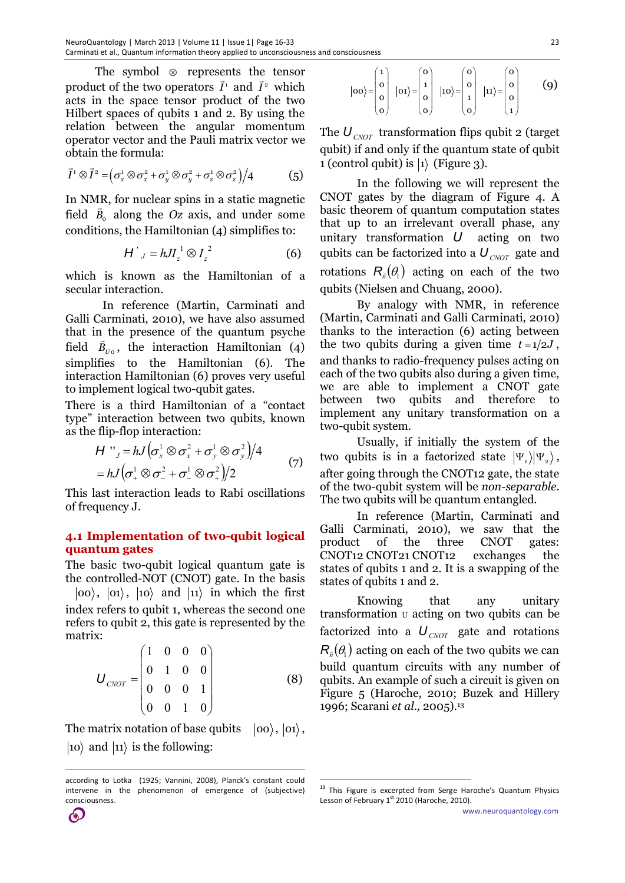The symbol  $\otimes$  represents the tensor product of the two operators  $\vec{I}^1$  and  $\vec{I}^2$  which acts in the space tensor product of the two Hilbert spaces of qubits 1 and 2. By using the relation between the angular momentum operator vector and the Pauli matrix vector we obtain the formula:

$$
\vec{I}^1 \otimes \vec{I}^2 = \left(\sigma_x^1 \otimes \sigma_x^2 + \sigma_y^1 \otimes \sigma_y^2 + \sigma_z^1 \otimes \sigma_z^2\right) / 4 \tag{5}
$$

In NMR, for nuclear spins in a static magnetic field  $\vec{B}_0$  along the Oz axis, and under some conditions, the Hamiltonian (4) simplifies to:

$$
H'_{J} = hJI_{z}^{1} \otimes I_{z}^{2}
$$
 (6)

which is known as the Hamiltonian of a secular interaction.

In reference (Martin, Carminati and Galli Carminati, 2010), we have also assumed that in the presence of the quantum psyche field  $\vec{B}_{U_0}$ , the interaction Hamiltonian (4) simplifies to the Hamiltonian (6). The interaction Hamiltonian (6) proves very useful to implement logical two-qubit gates.

There is a third Hamiltonian of a "contact type" interaction between two qubits, known as the flip-flop interaction:

$$
H''_j = hJ\left(\sigma_x^1 \otimes \sigma_x^2 + \sigma_y^1 \otimes \sigma_y^2\right)/4
$$
  
=  $hJ\left(\sigma_x^1 \otimes \sigma_x^2 + \sigma_x^1 \otimes \sigma_y^2\right)/2$  (7)

This last interaction leads to Rabi oscillations of frequency J.

## 4.1 Implementation of two-qubit logical quantum gates

The basic two-qubit logical quantum gate is the controlled-NOT (CNOT) gate. In the basis

 $|00\rangle$ ,  $|01\rangle$ ,  $|10\rangle$  and  $|11\rangle$  in which the first index refers to qubit 1, whereas the second one refers to qubit 2, this gate is represented by the matrix:

$$
\boldsymbol{U}_{\text{CNOT}} = \begin{pmatrix} 1 & 0 & 0 & 0 \\ 0 & 1 & 0 & 0 \\ 0 & 0 & 0 & 1 \\ 0 & 0 & 1 & 0 \end{pmatrix}
$$
 (8)

The matrix notation of base qubits  $|oo\rangle$ ,  $|o1\rangle$ ,  $|10\rangle$  and  $|11\rangle$  is the following:

$$
|00\rangle = \begin{pmatrix} 1 \\ 0 \\ 0 \\ 0 \end{pmatrix} |01\rangle = \begin{pmatrix} 0 \\ 1 \\ 0 \\ 0 \end{pmatrix} |10\rangle = \begin{pmatrix} 0 \\ 0 \\ 1 \\ 0 \end{pmatrix} |11\rangle = \begin{pmatrix} 0 \\ 0 \\ 0 \\ 1 \end{pmatrix}
$$
 (9)

The  $U_{CNOT}$  transformation flips qubit 2 (target qubit) if and only if the quantum state of qubit 1 (control qubit) is  $\ket{1}$  (Figure 3).

In the following we will represent the CNOT gates by the diagram of Figure 4. A basic theorem of quantum computation states that up to an irrelevant overall phase, any unitary transformation  $U$  acting on two qubits can be factorized into a  $U_{CNOT}$  gate and rotations  $R_{\vec{a}}(\theta_1)$  acting on each of the two qubits (Nielsen and Chuang, 2000).

By analogy with NMR, in reference (Martin, Carminati and Galli Carminati, 2010) thanks to the interaction (6) acting between the two qubits during a given time  $t = 1/2J$ , and thanks to radio-frequency pulses acting on each of the two qubits also during a given time, we are able to implement a CNOT gate between two qubits and therefore to implement any unitary transformation on a two-qubit system.

Usually, if initially the system of the two qubits is in a factorized state  $|\Psi_{1}\rangle |\Psi_{2}\rangle$ , after going through the CNOT12 gate, the state of the two-qubit system will be non-separable. The two qubits will be quantum entangled.

In reference (Martin, Carminati and Galli Carminati, 2010), we saw that the product of the three CNOT gates: CNOT12 CNOT21 CNOT12 exchanges the states of qubits 1 and 2. It is a swapping of the states of qubits 1 and 2.

Knowing that any unitary transformation U acting on two qubits can be factorized into a  $U_{CNOT}$  gate and rotations  $R_{\vec{v}}(\theta_1)$  acting on each of the two qubits we can build quantum circuits with any number of qubits. An example of such a circuit is given on Figure 5 (Haroche, 2010; Buzek and Hillery 1996; Scarani et al., 2005).13

 $\overline{a}$ according to Lotka (1925; Vannini, 2008), Planck's constant could intervene in the phenomenon of emergence of (subjective) consciousness.

<sup>&</sup>lt;sup>13</sup> This Figure is excerpted from Serge Haroche's Quantum Physics Lesson of February 1st 2010 (Haroche, 2010).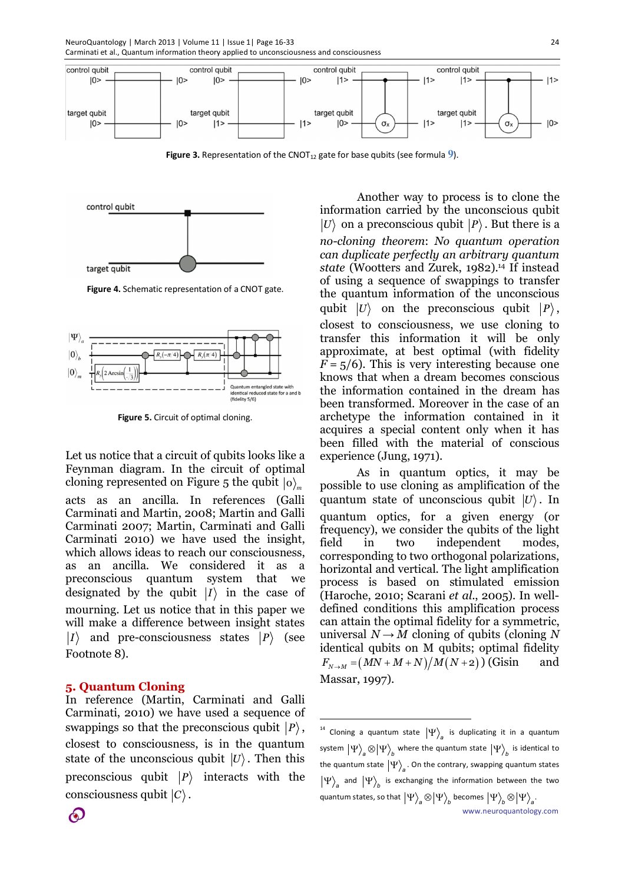

Figure 3. Representation of the CNOT<sub>12</sub> gate for base qubits (see formula 9).

<u>.</u>



**Figure 4.** Schematic representation of a CNOT gate.



**Figure 5.** Circuit of optimal cloning.

Let us notice that a circuit of qubits looks like a Feynman diagram. In the circuit of optimal cloning represented on Figure 5 the qubit  $|0\rangle$ 

acts as an ancilla. In references (Galli Carminati and Martin, 2008; Martin and Galli Carminati 2007; Martin, Carminati and Galli Carminati 2010) we have used the insight, which allows ideas to reach our consciousness, as an ancilla. We considered it as a preconscious quantum system that we designated by the qubit  $|I\rangle$  in the case of mourning. Let us notice that in this paper we will make a difference between insight states  $|I\rangle$  and pre-consciousness states  $|P\rangle$  (see Footnote 8).

#### 5. Quantum Cloning

In reference (Martin, Carminati and Galli Carminati, 2010) we have used a sequence of swappings so that the preconscious qubit  $|P\rangle$ , closest to consciousness, is in the quantum state of the unconscious qubit  $|U\rangle$ . Then this preconscious qubit  $|P\rangle$  interacts with the consciousness qubit  $|C\rangle$ .

Another way to process is to clone the information carried by the unconscious qubit  $|U\rangle$  on a preconscious qubit  $|P\rangle$ . But there is a no-cloning theorem: No quantum operation can duplicate perfectly an arbitrary quantum state (Wootters and Zurek, 1982).14 If instead of using a sequence of swappings to transfer the quantum information of the unconscious qubit  $|U\rangle$  on the preconscious qubit  $|P\rangle$ , closest to consciousness, we use cloning to transfer this information it will be only approximate, at best optimal (with fidelity  $F = 5/6$ ). This is very interesting because one knows that when a dream becomes conscious the information contained in the dream has been transformed. Moreover in the case of an archetype the information contained in it acquires a special content only when it has been filled with the material of conscious experience (Jung, 1971).

As in quantum optics, it may be possible to use cloning as amplification of the quantum state of unconscious qubit  $|U\rangle$ . In quantum optics, for a given energy (or frequency), we consider the qubits of the light field in two independent modes, corresponding to two orthogonal polarizations, horizontal and vertical. The light amplification process is based on stimulated emission (Haroche, 2010; Scarani et al., 2005). In welldefined conditions this amplification process can attain the optimal fidelity for a symmetric, universal  $N \rightarrow M$  cloning of qubits (cloning N identical qubits on M qubits; optimal fidelity  $F_{N\rightarrow M} = (MN + M + N)/(M(N+2))$  (Gisin and Massar, 1997).

<sup>&</sup>lt;sup>14</sup> Cloning a quantum state  $|\Psi\rangle$ <sub>a</sub> is duplicating it in a quantum system  $|\Psi\rangle$   $\otimes |\Psi\rangle$  where the quantum state  $|\Psi\rangle$  is identical to the quantum state  $\ket{\Psi}_{a}$ . On the contrary, swapping quantum states  $|\Psi\rangle$  and  $|\Psi\rangle$  is exchanging the information between the two quantum states, so that  $\ket{\Psi}_\mathsf{a}{\otimes}\ket{\Psi}_\mathsf{b}$  becomes  $\ket{\Psi}_\mathsf{b}{\otimes}\ket{\Psi}_\mathsf{a}$ :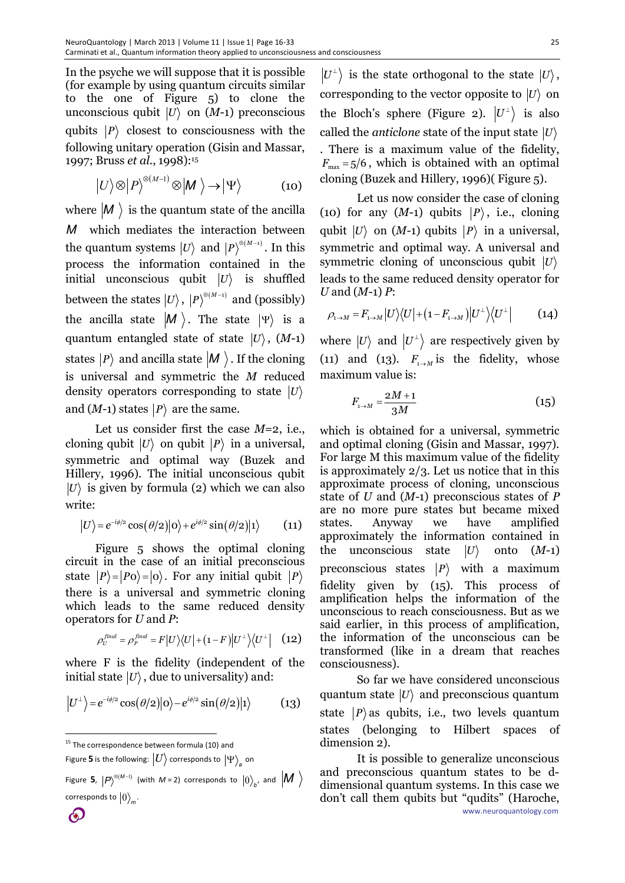In the psyche we will suppose that it is possible (for example by using quantum circuits similar to the one of Figure 5) to clone the unconscious qubit  $|U\rangle$  on (M-1) preconscious qubits  $|P\rangle$  closest to consciousness with the following unitary operation (Gisin and Massar, 1997; Bruss et al., 1998):15

$$
|U\rangle \otimes |P\rangle^{\otimes (M-1)} \otimes |M\rangle \rightarrow |\Psi\rangle \tag{10}
$$

where  $|M \rangle$  is the quantum state of the ancilla M which mediates the interaction between the quantum systems  $|U\rangle$  and  $|P\rangle^{\otimes(M-1)}$ . In this process the information contained in the initial unconscious qubit  $|U\rangle$  is shuffled between the states  $|U\rangle$ ,  $|P\rangle^{\otimes(M-1)}$  and (possibly) the ancilla state  $|M \rangle$ . The state  $|\Psi \rangle$  is a quantum entangled state of state  $|U\rangle$ ,  $(M-1)$ states  $|P\rangle$  and ancilla state  $|M \rangle$ . If the cloning is universal and symmetric the M reduced density operators corresponding to state  $|U\rangle$ and (*M*-1) states  $|P\rangle$  are the same.

Let us consider first the case  $M=2$ , i.e., cloning qubit  $|U\rangle$  on qubit  $|P\rangle$  in a universal, symmetric and optimal way (Buzek and Hillery, 1996). The initial unconscious qubit  $|U\rangle$  is given by formula (2) which we can also write:

$$
|U\rangle = e^{-i\phi/2} \cos(\theta/2)|0\rangle + e^{i\phi/2} \sin(\theta/2)|1\rangle \qquad (11)
$$

Figure 5 shows the optimal cloning circuit in the case of an initial preconscious state  $|P\rangle = |P0\rangle = |0\rangle$ . For any initial qubit  $|P\rangle$ there is a universal and symmetric cloning which leads to the same reduced density operators for U and P:

$$
\rho_U^{final} = \rho_P^{final} = F|U\rangle\langle U| + (1 - F)|U^{\perp}\rangle\langle U^{\perp}| \quad (12)
$$

where F is the fidelity (independent of the initial state  $|U\rangle$ , due to universality) and:

$$
\left|U^{\perp}\right\rangle = e^{-i\phi/2}\cos(\theta/2)|0\rangle - e^{i\phi/2}\sin(\theta/2)|1\rangle \tag{13}
$$

 $|U^{\perp}\rangle$  is the state orthogonal to the state  $|U\rangle$ , corresponding to the vector opposite to  $|U\rangle$  on the Bloch's sphere (Figure 2).  $|U^{\perp}\rangle$  is also called the *anticlone* state of the input state  $|U\rangle$ . There is a maximum value of the fidelity,  $F_{\text{max}} = 5/6$ , which is obtained with an optimal cloning (Buzek and Hillery, 1996)( Figure 5).

Let us now consider the case of cloning (10) for any  $(M-1)$  qubits  $|P\rangle$ , i.e., cloning qubit  $|U\rangle$  on (M-1) qubits  $|P\rangle$  in a universal, symmetric and optimal way. A universal and symmetric cloning of unconscious qubit  $|U\rangle$ leads to the same reduced density operator for  $U$  and  $(M-1)$   $P$ :

$$
\rho_{1\rightarrow M} = F_{1\rightarrow M} |U\rangle\langle U| + (1 - F_{1\rightarrow M}) |U^{\perp}\rangle\langle U^{\perp}| \qquad (14)
$$

where  $|U\rangle$  and  $|U^{\perp}\rangle$  are respectively given by (11) and (13).  $F_{1\rightarrow M}$  is the fidelity, whose maximum value is:

$$
F_{1 \to M} = \frac{2M + 1}{3M} \tag{15}
$$

which is obtained for a universal, symmetric and optimal cloning (Gisin and Massar, 1997). For large M this maximum value of the fidelity is approximately 2/3. Let us notice that in this approximate process of cloning, unconscious state of U and  $(M-1)$  preconscious states of P are no more pure states but became mixed states. Anyway we have amplified approximately the information contained in the unconscious state  $|U\rangle$  onto  $(M-1)$ preconscious states  $|P\rangle$  with a maximum fidelity given by (15). This process of amplification helps the information of the unconscious to reach consciousness. But as we said earlier, in this process of amplification, the information of the unconscious can be transformed (like in a dream that reaches consciousness).

So far we have considered unconscious quantum state  $|U\rangle$  and preconscious quantum state  $|P\rangle$  as qubits, i.e., two levels quantum states (belonging to Hilbert spaces of dimension 2).

 www.neuroquantology.com It is possible to generalize unconscious and preconscious quantum states to be ddimensional quantum systems. In this case we don't call them qubits but "qudits" (Haroche,

<sup>&</sup>lt;sup>15</sup> The correspondence between formula (10) and

Figure 5 is the following:  $|U\rangle$  corresponds to  $|\Psi\rangle$  on

Figure **5**,  $\ket{P}^{\otimes (M-1)}$  (with  $M$  = 2) corresponds to  $\ket{0}_b$ , and  $\ket{\textsf{M}}$ corresponds to  $|0\rangle_m$ .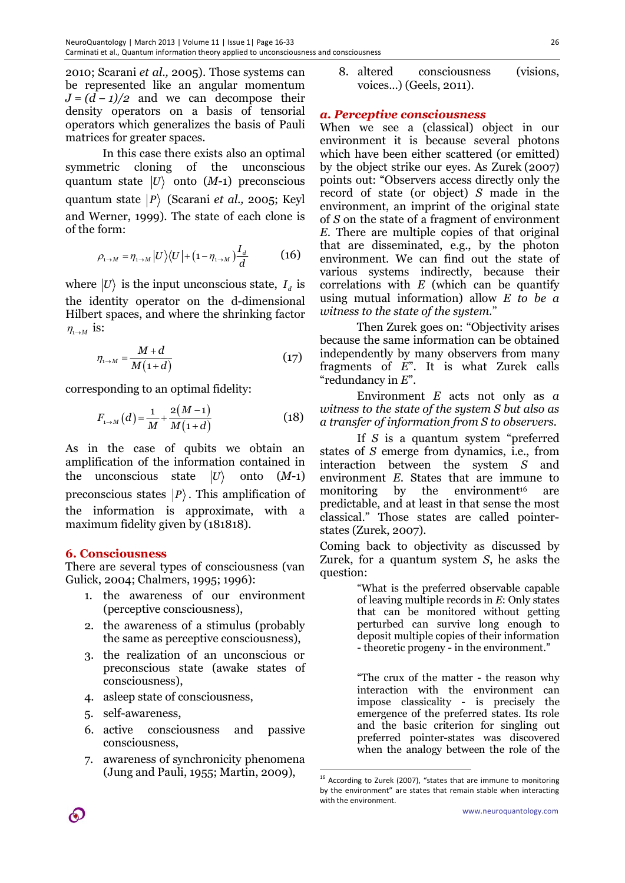2010; Scarani et al., 2005). Those systems can be represented like an angular momentum  $J = (d - 1)/2$  and we can decompose their density operators on a basis of tensorial operators which generalizes the basis of Pauli matrices for greater spaces.

In this case there exists also an optimal symmetric cloning of the unconscious quantum state  $|U\rangle$  onto  $(M-1)$  preconscious quantum state  $|P\rangle$  (Scarani et al., 2005; Keyl and Werner, 1999). The state of each clone is of the form:

$$
\rho_{1\rightarrow M} = \eta_{1\rightarrow M} |U\rangle\langle U| + (1 - \eta_{1\rightarrow M})\frac{I_d}{d}
$$
 (16)

where  $|U\rangle$  is the input unconscious state,  $I_d$  is the identity operator on the d-dimensional Hilbert spaces, and where the shrinking factor  $\eta_{\scriptscriptstyle mM}$  is:

$$
\eta_{1 \to M} = \frac{M + d}{M(1 + d)}\tag{17}
$$

corresponding to an optimal fidelity:

$$
F_{1\to M}\left(d\right) = \frac{1}{M} + \frac{2(M-1)}{M(1+d)}\tag{18}
$$

As in the case of qubits we obtain an amplification of the information contained in the unconscious state  $|U\rangle$  onto  $(M-1)$ preconscious states  $|P\rangle$ . This amplification of the information is approximate, with a maximum fidelity given by (181818).

## 6. Consciousness

There are several types of consciousness (van Gulick, 2004; Chalmers, 1995; 1996):

- 1. the awareness of our environment (perceptive consciousness),
- 2. the awareness of a stimulus (probably the same as perceptive consciousness),
- 3. the realization of an unconscious or preconscious state (awake states of consciousness),
- 4. asleep state of consciousness,
- 5. self-awareness,
- 6. active consciousness and passive consciousness,
- 7. awareness of synchronicity phenomena (Jung and Pauli, 1955; Martin, 2009),

8. altered consciousness (visions, voices...) (Geels, 2011).

#### a. Perceptive consciousness

When we see a (classical) object in our environment it is because several photons which have been either scattered (or emitted) by the object strike our eyes. As Zurek (2007) points out: "Observers access directly only the record of state (or object) S made in the environment, an imprint of the original state of S on the state of a fragment of environment E. There are multiple copies of that original that are disseminated, e.g., by the photon environment. We can find out the state of various systems indirectly, because their correlations with  $E$  (which can be quantify using mutual information) allow  $E$  to be  $\alpha$ witness to the state of the system."

Then Zurek goes on: "Objectivity arises because the same information can be obtained independently by many observers from many fragments of E". It is what Zurek calls "redundancy in  $E$ ".

Environment  $E$  acts not only as  $\alpha$ witness to the state of the system S but also as a transfer of information from S to observers.

If S is a quantum system "preferred states of S emerge from dynamics, i.e., from interaction between the system S and environment E. States that are immune to monitoring by the environment<sup>16</sup> are predictable, and at least in that sense the most classical." Those states are called pointerstates (Zurek, 2007).

Coming back to objectivity as discussed by Zurek, for a quantum system S, he asks the question:

> "What is the preferred observable capable of leaving multiple records in E: Only states that can be monitored without getting perturbed can survive long enough to deposit multiple copies of their information - theoretic progeny - in the environment."

> "The crux of the matter - the reason why interaction with the environment can impose classicality - is precisely the emergence of the preferred states. Its role and the basic criterion for singling out preferred pointer-states was discovered when the analogy between the role of the

 $16$  According to Zurek (2007), "states that are immune to monitoring by the environment" are states that remain stable when interacting with the environment.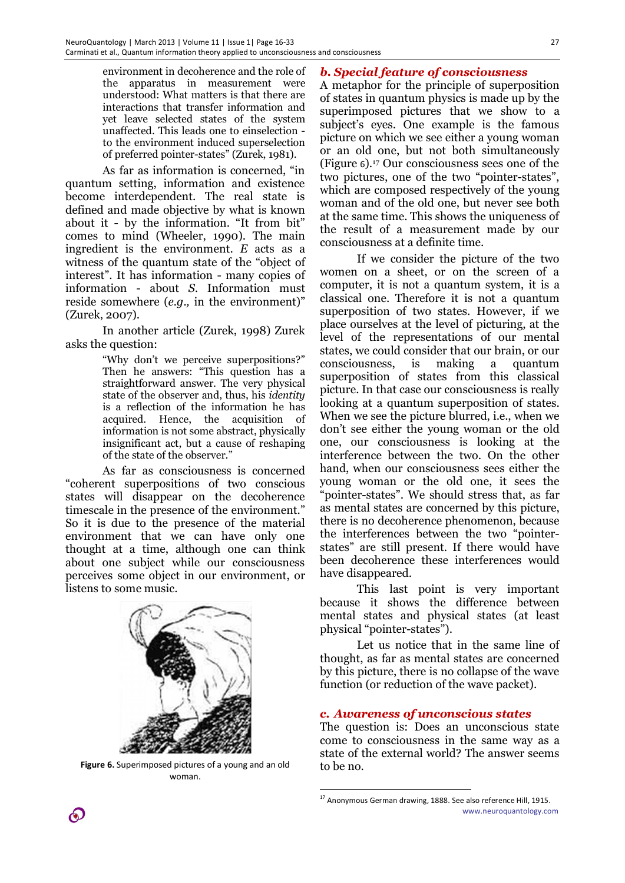environment in decoherence and the role of the apparatus in measurement were understood: What matters is that there are interactions that transfer information and yet leave selected states of the system unaffected. This leads one to einselection to the environment induced superselection of preferred pointer-states" (Zurek, 1981).

As far as information is concerned, "in quantum setting, information and existence become interdependent. The real state is defined and made objective by what is known about it - by the information. "It from bit" comes to mind (Wheeler, 1990). The main ingredient is the environment. E acts as a witness of the quantum state of the "object of interest". It has information - many copies of information - about S. Information must reside somewhere (e.g., in the environment)" (Zurek, 2007).

In another article (Zurek, 1998) Zurek asks the question:

> "Why don't we perceive superpositions?" Then he answers: "This question has a straightforward answer. The very physical state of the observer and, thus, his *identitu* is a reflection of the information he has acquired. Hence, the acquisition of information is not some abstract, physically insignificant act, but a cause of reshaping of the state of the observer."

As far as consciousness is concerned "coherent superpositions of two conscious states will disappear on the decoherence timescale in the presence of the environment." So it is due to the presence of the material environment that we can have only one thought at a time, although one can think about one subject while our consciousness perceives some object in our environment, or listens to some music.



**Figure 6.** Superimposed pictures of a young and an old woman.

## b. Special feature of consciousness

A metaphor for the principle of superposition of states in quantum physics is made up by the superimposed pictures that we show to a subject's eyes. One example is the famous picture on which we see either a young woman or an old one, but not both simultaneously (Figure 6).17 Our consciousness sees one of the two pictures, one of the two "pointer-states", which are composed respectively of the young woman and of the old one, but never see both at the same time. This shows the uniqueness of the result of a measurement made by our consciousness at a definite time.

If we consider the picture of the two women on a sheet, or on the screen of a computer, it is not a quantum system, it is a classical one. Therefore it is not a quantum superposition of two states. However, if we place ourselves at the level of picturing, at the level of the representations of our mental states, we could consider that our brain, or our consciousness, is making a quantum superposition of states from this classical picture. In that case our consciousness is really looking at a quantum superposition of states. When we see the picture blurred, i.e., when we don't see either the young woman or the old one, our consciousness is looking at the interference between the two. On the other hand, when our consciousness sees either the young woman or the old one, it sees the "pointer-states". We should stress that, as far as mental states are concerned by this picture, there is no decoherence phenomenon, because the interferences between the two "pointerstates" are still present. If there would have been decoherence these interferences would have disappeared.

This last point is very important because it shows the difference between mental states and physical states (at least physical "pointer-states").

Let us notice that in the same line of thought, as far as mental states are concerned by this picture, there is no collapse of the wave function (or reduction of the wave packet).

## c. Awareness of unconscious states

The question is: Does an unconscious state come to consciousness in the same way as a state of the external world? The answer seems to be no.

www.neuroquantology.com  $17$  Anonymous German drawing, 1888. See also reference Hill, 1915.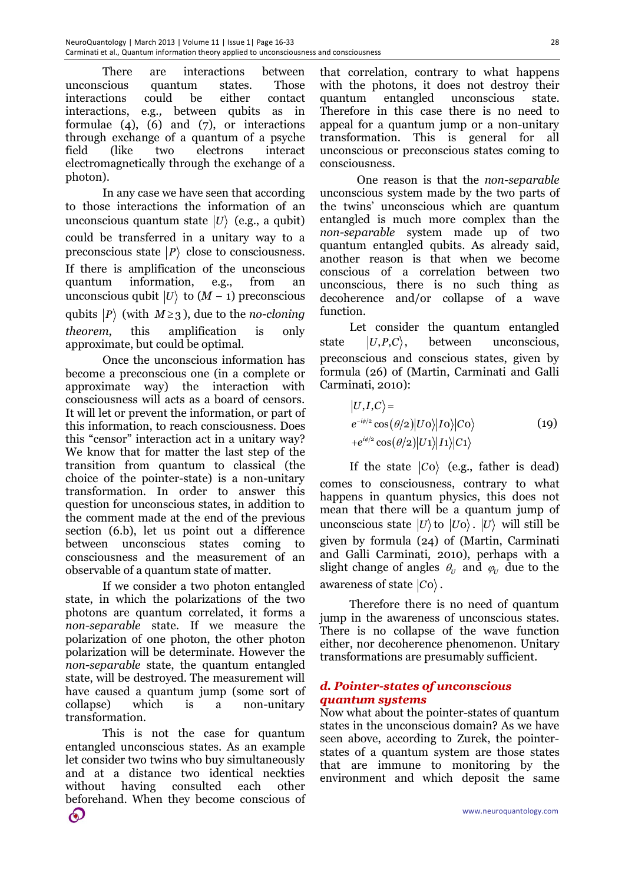There are interactions between unconscious quantum states. Those interactions could be either contact interactions, e.g., between qubits as in formulae  $(4)$ ,  $(6)$  and  $(7)$ , or interactions through exchange of a quantum of a psyche field (like two electrons interact electromagnetically through the exchange of a photon).

In any case we have seen that according to those interactions the information of an unconscious quantum state  $|U\rangle$  (e.g., a qubit) could be transferred in a unitary way to a preconscious state  $|P\rangle$  close to consciousness. If there is amplification of the unconscious quantum information, e.g., from an unconscious qubit  $|U\rangle$  to  $(M − 1)$  preconscious qubits  $|P\rangle$  (with  $M \ge 3$ ), due to the *no-cloning* theorem, this amplification is only approximate, but could be optimal.

Once the unconscious information has become a preconscious one (in a complete or approximate way) the interaction with consciousness will acts as a board of censors. It will let or prevent the information, or part of this information, to reach consciousness. Does this "censor" interaction act in a unitary way? We know that for matter the last step of the transition from quantum to classical (the choice of the pointer-state) is a non-unitary transformation. In order to answer this question for unconscious states, in addition to the comment made at the end of the previous section (6.b), let us point out a difference between unconscious states coming to consciousness and the measurement of an observable of a quantum state of matter.

If we consider a two photon entangled state, in which the polarizations of the two photons are quantum correlated, it forms a non-separable state. If we measure the polarization of one photon, the other photon polarization will be determinate. However the non-separable state, the quantum entangled state, will be destroyed. The measurement will have caused a quantum jump (some sort of collapse) which is a non-unitary transformation.

This is not the case for quantum entangled unconscious states. As an example let consider two twins who buy simultaneously and at a distance two identical neckties without having consulted each other beforehand. When they become conscious of  $\odot$ 

that correlation, contrary to what happens with the photons, it does not destroy their quantum entangled unconscious state. Therefore in this case there is no need to appeal for a quantum jump or a non-unitary transformation. This is general for all unconscious or preconscious states coming to consciousness.

One reason is that the non-separable unconscious system made by the two parts of the twins' unconscious which are quantum entangled is much more complex than the non-separable system made up of two quantum entangled qubits. As already said, another reason is that when we become conscious of a correlation between two unconscious, there is no such thing as decoherence and/or collapse of a wave function.

Let consider the quantum entangled state  $|U, P, C\rangle$ , between unconscious, preconscious and conscious states, given by formula (26) of (Martin, Carminati and Galli Carminati, 2010):

$$
|U,I,C\rangle =e^{-i\phi/2} \cos(\theta/2)|U0\rangle |I0\rangle |C0\rangle+e^{i\phi/2} \cos(\theta/2)|U1\rangle |I1\rangle |C1\rangle
$$
 (19)

If the state  $|Co \rangle$  (e.g., father is dead) comes to consciousness, contrary to what happens in quantum physics, this does not mean that there will be a quantum jump of unconscious state  $|U\rangle$  to  $|U\phi\rangle$ .  $|U\rangle$  will still be given by formula (24) of (Martin, Carminati and Galli Carminati, 2010), perhaps with a slight change of angles  $\theta_U$  and  $\varphi_U$  due to the awareness of state  $|Co\rangle$ .

Therefore there is no need of quantum jump in the awareness of unconscious states. There is no collapse of the wave function either, nor decoherence phenomenon. Unitary transformations are presumably sufficient.

## d. Pointer-states of unconscious quantum systems

Now what about the pointer-states of quantum states in the unconscious domain? As we have seen above, according to Zurek, the pointerstates of a quantum system are those states that are immune to monitoring by the environment and which deposit the same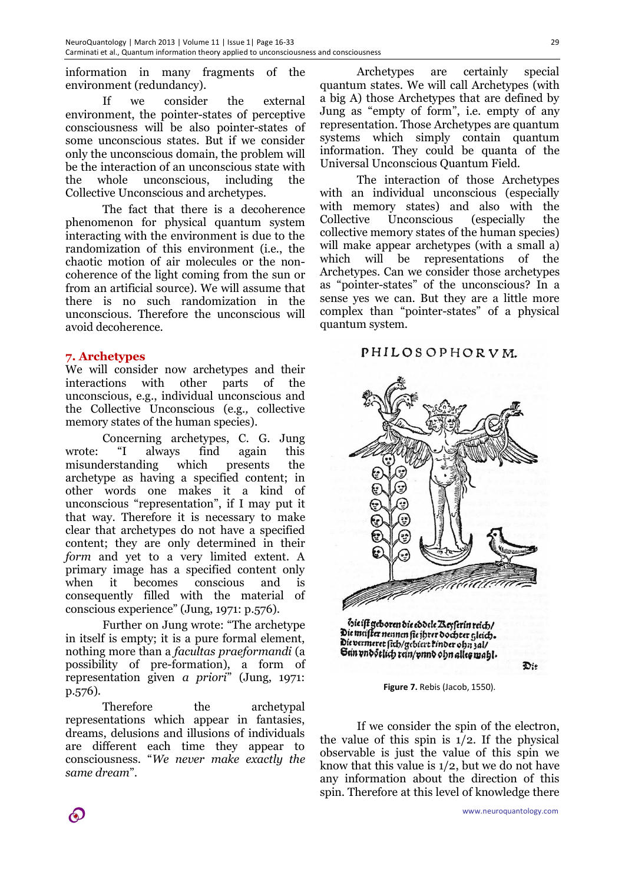information in many fragments of the environment (redundancy).

If we consider the external environment, the pointer-states of perceptive consciousness will be also pointer-states of some unconscious states. But if we consider only the unconscious domain, the problem will be the interaction of an unconscious state with the whole unconscious, including the Collective Unconscious and archetypes.

The fact that there is a decoherence phenomenon for physical quantum system interacting with the environment is due to the randomization of this environment (i.e., the chaotic motion of air molecules or the noncoherence of the light coming from the sun or from an artificial source). We will assume that there is no such randomization in the unconscious. Therefore the unconscious will avoid decoherence.

## 7. Archetypes

We will consider now archetypes and their interactions with other parts of the unconscious, e.g., individual unconscious and the Collective Unconscious (e.g., collective memory states of the human species).

Concerning archetypes, C. G. Jung wrote: "I always find again this misunderstanding which presents the archetype as having a specified content; in other words one makes it a kind of unconscious "representation", if I may put it that way. Therefore it is necessary to make clear that archetypes do not have a specified content; they are only determined in their form and yet to a very limited extent. A primary image has a specified content only when it becomes conscious and is consequently filled with the material of conscious experience" (Jung, 1971: p.576).

Further on Jung wrote: "The archetype in itself is empty; it is a pure formal element, nothing more than a facultas praeformandi (a possibility of pre-formation), a form of representation given a priori" (Jung, 1971: p.576).

Therefore the archetypal representations which appear in fantasies, dreams, delusions and illusions of individuals are different each time they appear to consciousness. "We never make exactly the same dream".

Archetypes are certainly special quantum states. We will call Archetypes (with a big A) those Archetypes that are defined by Jung as "empty of form", i.e. empty of any representation. Those Archetypes are quantum systems which simply contain quantum information. They could be quanta of the Universal Unconscious Quantum Field.

The interaction of those Archetypes with an individual unconscious (especially with memory states) and also with the Collective Unconscious (especially the collective memory states of the human species) will make appear archetypes (with a small a) which will be representations of the Archetypes. Can we consider those archetypes as "pointer-states" of the unconscious? In a sense yes we can. But they are a little more complex than "pointer-states" of a physical quantum system.

## PHILOSOPHORVM.



**Figure 7.** Rebis (Jacob, 1550).

If we consider the spin of the electron, the value of this spin is  $1/2$ . If the physical observable is just the value of this spin we know that this value is 1/2, but we do not have any information about the direction of this spin. Therefore at this level of knowledge there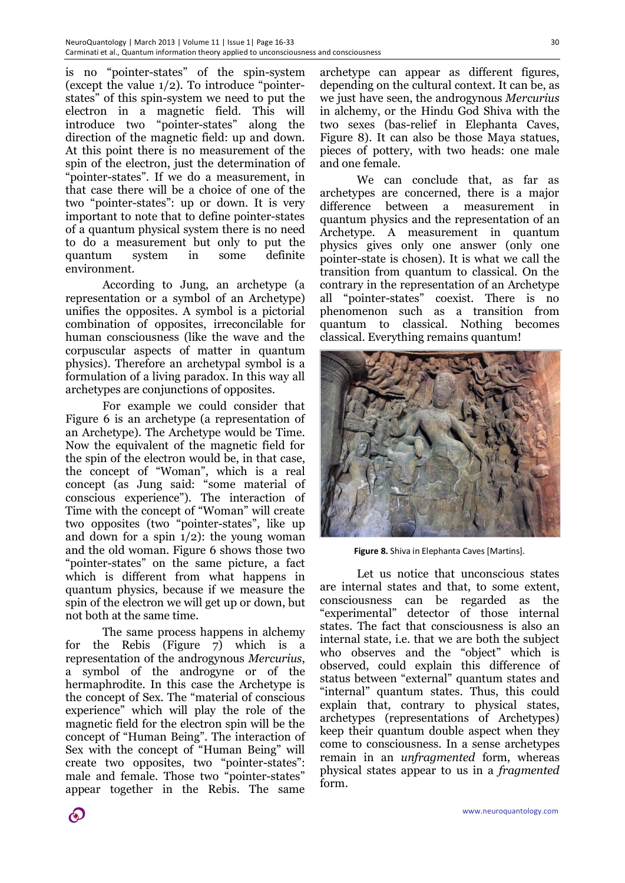is no "pointer-states" of the spin-system (except the value 1/2). To introduce "pointerstates" of this spin-system we need to put the electron in a magnetic field. This will introduce two "pointer-states" along the direction of the magnetic field: up and down. At this point there is no measurement of the spin of the electron, just the determination of "pointer-states". If we do a measurement, in that case there will be a choice of one of the two "pointer-states": up or down. It is very important to note that to define pointer-states of a quantum physical system there is no need to do a measurement but only to put the quantum system in some definite environment.

According to Jung, an archetype (a representation or a symbol of an Archetype) unifies the opposites. A symbol is a pictorial combination of opposites, irreconcilable for human consciousness (like the wave and the corpuscular aspects of matter in quantum physics). Therefore an archetypal symbol is a formulation of a living paradox. In this way all archetypes are conjunctions of opposites.

For example we could consider that Figure 6 is an archetype (a representation of an Archetype). The Archetype would be Time. Now the equivalent of the magnetic field for the spin of the electron would be, in that case, the concept of "Woman", which is a real concept (as Jung said: "some material of conscious experience"). The interaction of Time with the concept of "Woman" will create two opposites (two "pointer-states", like up and down for a spin  $1/2$ : the young woman and the old woman. Figure 6 shows those two "pointer-states" on the same picture, a fact which is different from what happens in quantum physics, because if we measure the spin of the electron we will get up or down, but not both at the same time.

The same process happens in alchemy for the Rebis (Figure 7) which is a representation of the androgynous Mercurius, a symbol of the androgyne or of the hermaphrodite. In this case the Archetype is the concept of Sex. The "material of conscious experience" which will play the role of the magnetic field for the electron spin will be the concept of "Human Being". The interaction of Sex with the concept of "Human Being" will create two opposites, two "pointer-states": male and female. Those two "pointer-states" appear together in the Rebis. The same

archetype can appear as different figures, depending on the cultural context. It can be, as we just have seen, the androgynous Mercurius in alchemy, or the Hindu God Shiva with the two sexes (bas-relief in Elephanta Caves, Figure 8). It can also be those Maya statues, pieces of pottery, with two heads: one male and one female.

We can conclude that, as far as archetypes are concerned, there is a major difference between a measurement in quantum physics and the representation of an Archetype. A measurement in quantum physics gives only one answer (only one pointer-state is chosen). It is what we call the transition from quantum to classical. On the contrary in the representation of an Archetype all "pointer-states" coexist. There is no phenomenon such as a transition from quantum to classical. Nothing becomes classical. Everything remains quantum!



**Figure 8.** Shiva in Elephanta Caves [Martins].

Let us notice that unconscious states are internal states and that, to some extent, consciousness can be regarded as the "experimental" detector of those internal states. The fact that consciousness is also an internal state, i.e. that we are both the subject who observes and the "object" which is observed, could explain this difference of status between "external" quantum states and "internal" quantum states. Thus, this could explain that, contrary to physical states, archetypes (representations of Archetypes) keep their quantum double aspect when they come to consciousness. In a sense archetypes remain in an unfragmented form, whereas physical states appear to us in a fragmented form.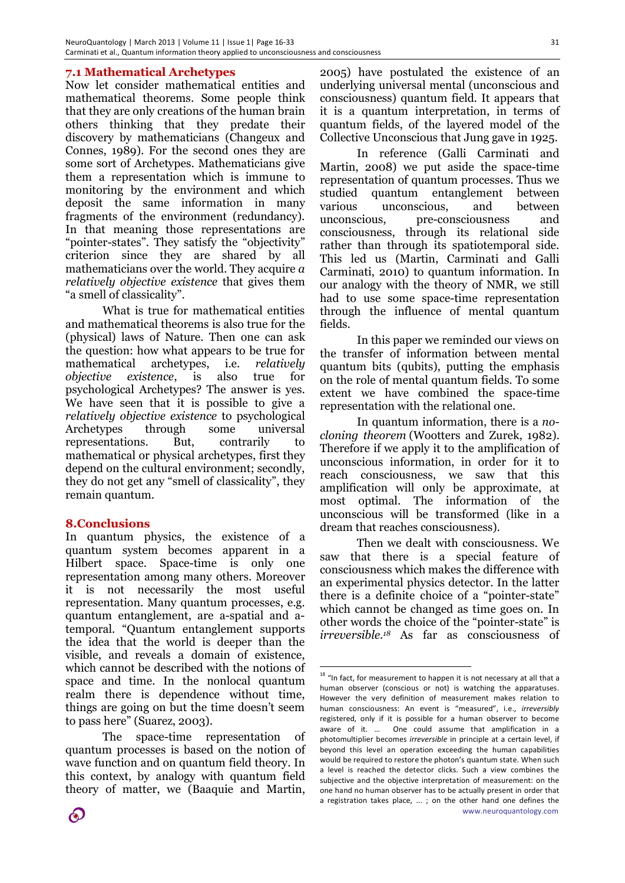## 7.1 Mathematical Archetypes

Now let consider mathematical entities and mathematical theorems. Some people think that they are only creations of the human brain others thinking that they predate their discovery by mathematicians (Changeux and Connes, 1989). For the second ones they are some sort of Archetypes. Mathematicians give them a representation which is immune to monitoring by the environment and which deposit the same information in many fragments of the environment (redundancy). In that meaning those representations are "pointer-states". They satisfy the "objectivity" criterion since they are shared by all mathematicians over the world. They acquire  $a$ relatively objective existence that gives them "a smell of classicality".

What is true for mathematical entities and mathematical theorems is also true for the (physical) laws of Nature. Then one can ask the question: how what appears to be true for mathematical archetypes, i.e. relatively objective existence, is also true for psychological Archetypes? The answer is yes. We have seen that it is possible to give a relatively objective existence to psychological Archetypes through some universal representations. But, contrarily to mathematical or physical archetypes, first they depend on the cultural environment; secondly, they do not get any "smell of classicality", they remain quantum.

## 8.Conclusions

In quantum physics, the existence of a quantum system becomes apparent in a Hilbert space. Space-time is only one representation among many others. Moreover it is not necessarily the most useful representation. Many quantum processes, e.g. quantum entanglement, are a-spatial and atemporal. "Quantum entanglement supports the idea that the world is deeper than the visible, and reveals a domain of existence, which cannot be described with the notions of space and time. In the nonlocal quantum realm there is dependence without time, things are going on but the time doesn't seem to pass here" (Suarez, 2003).

The space-time representation of quantum processes is based on the notion of wave function and on quantum field theory. In this context, by analogy with quantum field theory of matter, we (Baaquie and Martin,

2005) have postulated the existence of an underlying universal mental (unconscious and consciousness) quantum field. It appears that it is a quantum interpretation, in terms of quantum fields, of the layered model of the Collective Unconscious that Jung gave in 1925.

In reference (Galli Carminati and Martin, 2008) we put aside the space-time representation of quantum processes. Thus we studied quantum entanglement between various unconscious, and between unconscious, pre-consciousness and consciousness, through its relational side rather than through its spatiotemporal side. This led us (Martin, Carminati and Galli Carminati, 2010) to quantum information. In our analogy with the theory of NMR, we still had to use some space-time representation through the influence of mental quantum fields.

In this paper we reminded our views on the transfer of information between mental quantum bits (qubits), putting the emphasis on the role of mental quantum fields. To some extent we have combined the space-time representation with the relational one.

In quantum information, there is a nocloning theorem (Wootters and Zurek, 1982). Therefore if we apply it to the amplification of unconscious information, in order for it to reach consciousness, we saw that this amplification will only be approximate, at most optimal. The information of the unconscious will be transformed (like in a dream that reaches consciousness).

Then we dealt with consciousness. We saw that there is a special feature of consciousness which makes the difference with an experimental physics detector. In the latter there is a definite choice of a "pointer-state" which cannot be changed as time goes on. In other words the choice of the "pointer-state" is irreversible. <sup>18</sup> As far as consciousness of

www.neuroquantology.com  $18$  "In fact, for measurement to happen it is not necessary at all that a human observer (conscious or not) is watching the apparatuses. However the very definition of measurement makes relation to human consciousness: An event is "measured", i.e., *irreversibly* registered, only if it is possible for a human observer to become aware of it. … One could assume that amplification in a photomultiplier becomes *irreversible* in principle at a certain level, if beyond this level an operation exceeding the human capabilities would be required to restore the photon's quantum state. When such a level is reached the detector clicks. Such a view combines the subjective and the objective interpretation of measurement: on the one hand no human observer has to be actually present in order that a registration takes place, ... ; on the other hand one defines the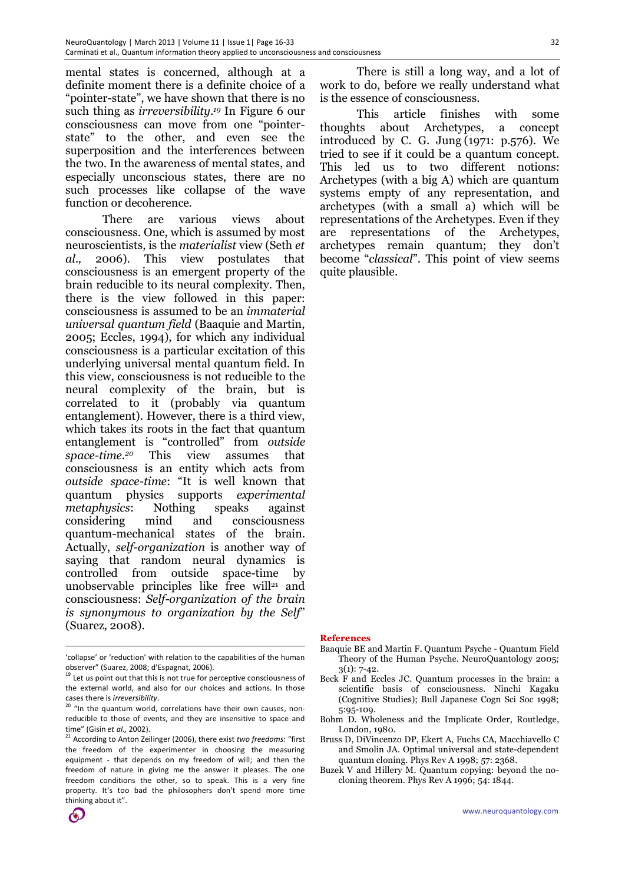mental states is concerned, although at a definite moment there is a definite choice of a "pointer-state", we have shown that there is no such thing as irreversibility. <sup>19</sup> In Figure 6 our consciousness can move from one "pointerstate" to the other, and even see the superposition and the interferences between the two. In the awareness of mental states, and especially unconscious states, there are no such processes like collapse of the wave function or decoherence.

There are various views about consciousness. One, which is assumed by most neuroscientists, is the materialist view (Seth et al., 2006). This view postulates that consciousness is an emergent property of the brain reducible to its neural complexity. Then, there is the view followed in this paper: consciousness is assumed to be an immaterial universal quantum field (Baaquie and Martin, 2005; Eccles, 1994), for which any individual consciousness is a particular excitation of this underlying universal mental quantum field. In this view, consciousness is not reducible to the neural complexity of the brain, but is correlated to it (probably via quantum entanglement). However, there is a third view, which takes its roots in the fact that quantum entanglement is "controlled" from outside space-time.<sup>20</sup> <sup>20</sup> This view assumes that consciousness is an entity which acts from outside space-time: "It is well known that quantum physics supports experimental metaphysics: Nothing speaks against considering mind and consciousness quantum-mechanical states of the brain. Actually, self-organization is another way of saying that random neural dynamics is controlled from outside space-time by unobservable principles like free will $21$  and consciousness: Self-organization of the brain is synonymous to organization by the Self" (Suarez, 2008).

 $\overline{a}$ 

 $\odot$ 

This article finishes with some thoughts about Archetypes, a concept introduced by C. G. Jung (1971: p.576). We tried to see if it could be a quantum concept. This led us to two different notions: Archetypes (with a big A) which are quantum systems empty of any representation, and archetypes (with a small a) which will be representations of the Archetypes. Even if they are representations of the Archetypes, archetypes remain quantum; they don't become "classical". This point of view seems quite plausible.

#### References

- Baaquie BE and Martin F. Quantum Psyche Quantum Field Theory of the Human Psyche. NeuroQuantology 2005;  $3(1): 7-42.$
- Beck F and Eccles JC. Quantum processes in the brain: a scientific basis of consciousness. Ninchi Kagaku (Cognitive Studies); Bull Japanese Cogn Sci Soc 1998; 5:95-109.
- Bohm D. Wholeness and the Implicate Order, Routledge, London, 1980.
- Bruss D, DiVincenzo DP, Ekert A, Fuchs CA, Macchiavello C and Smolin JA. Optimal universal and state-dependent quantum cloning. Phys Rev A 1998; 57: 2368.
- Buzek V and Hillery M. Quantum copying: beyond the nocloning theorem. Phys Rev A 1996; 54: 1844.

<sup>&#</sup>x27;collapse' or 'reduction' with relation to the capabilities of the human observer" (Suarez, 2008; d'Espagnat, 2006).

 $\theta$  Let us point out that this is not true for perceptive consciousness of the external world, and also for our choices and actions. In those cases there is *irreversibility*.

<sup>&</sup>lt;sup>3</sup> "In the quantum world, correlations have their own causes, nonreducible to those of events, and they are insensitive to space and time" (Gisin *et al.,* 2002).<br><sup>21</sup> According to Anton Zeilinger (2006), there exist *two freedoms*: "first

the freedom of the experimenter in choosing the measuring equipment - that depends on my freedom of will; and then the freedom of nature in giving me the answer it pleases. The one freedom conditions the other, so to speak. This is a very fine property. It's too bad the philosophers don't spend more time thinking about it".